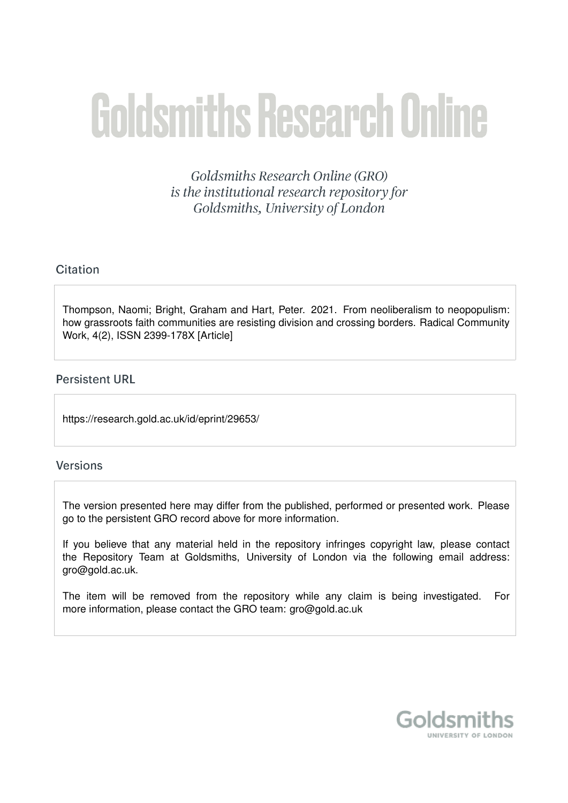# **Goldsmiths Research Online**

Goldsmiths Research Online (GRO) is the institutional research repository for Goldsmiths, University of London

# Citation

Thompson, Naomi; Bright, Graham and Hart, Peter. 2021. From neoliberalism to neopopulism: how grassroots faith communities are resisting division and crossing borders. Radical Community Work, 4(2), ISSN 2399-178X [Article]

## **Persistent URL**

https://research.gold.ac.uk/id/eprint/29653/

## **Versions**

The version presented here may differ from the published, performed or presented work. Please go to the persistent GRO record above for more information.

If you believe that any material held in the repository infringes copyright law, please contact the Repository Team at Goldsmiths, University of London via the following email address: gro@gold.ac.uk.

The item will be removed from the repository while any claim is being investigated. For more information, please contact the GRO team: gro@gold.ac.uk

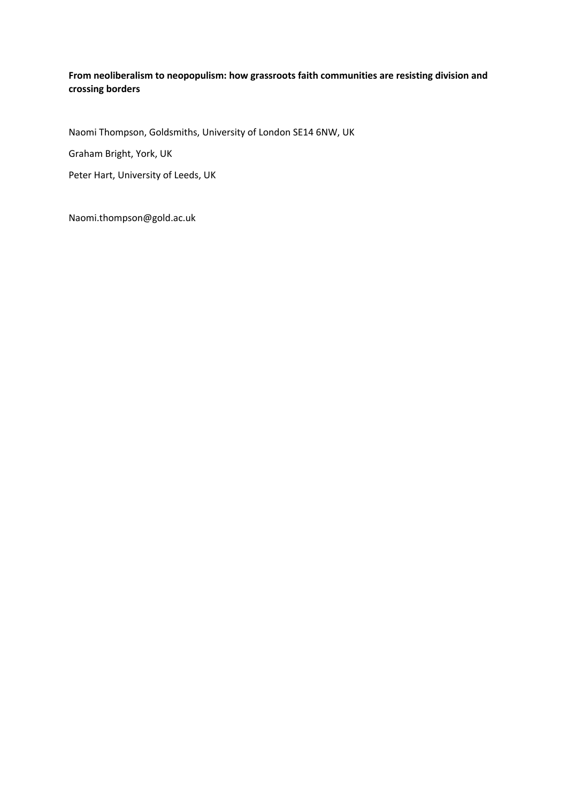#### **From neoliberalism to neopopulism: how grassroots faith communities are resisting division and crossing borders**

Naomi Thompson, Goldsmiths, University of London SE14 6NW, UK

Graham Bright, York, UK

Peter Hart, University of Leeds, UK

Naomi.thompson@gold.ac.uk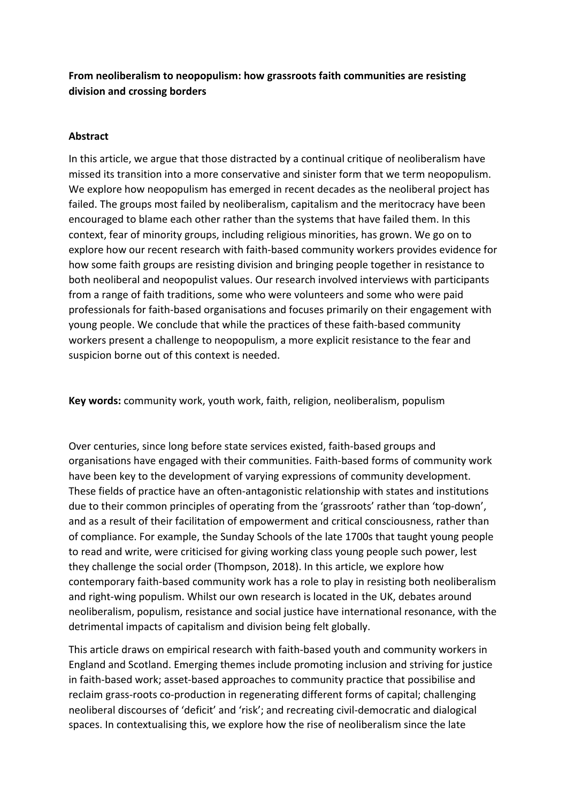# **From neoliberalism to neopopulism: how grassroots faith communities are resisting division and crossing borders**

### **Abstract**

In this article, we argue that those distracted by a continual critique of neoliberalism have missed its transition into a more conservative and sinister form that we term neopopulism. We explore how neopopulism has emerged in recent decades as the neoliberal project has failed. The groups most failed by neoliberalism, capitalism and the meritocracy have been encouraged to blame each other rather than the systems that have failed them. In this context, fear of minority groups, including religious minorities, has grown. We go on to explore how our recent research with faith-based community workers provides evidence for how some faith groups are resisting division and bringing people together in resistance to both neoliberal and neopopulist values. Our research involved interviews with participants from a range of faith traditions, some who were volunteers and some who were paid professionals for faith-based organisations and focuses primarily on their engagement with young people. We conclude that while the practices of these faith-based community workers present a challenge to neopopulism, a more explicit resistance to the fear and suspicion borne out of this context is needed.

**Key words:** community work, youth work, faith, religion, neoliberalism, populism

Over centuries, since long before state services existed, faith-based groups and organisations have engaged with their communities. Faith-based forms of community work have been key to the development of varying expressions of community development. These fields of practice have an often-antagonistic relationship with states and institutions due to their common principles of operating from the 'grassroots' rather than 'top-down', and as a result of their facilitation of empowerment and critical consciousness, rather than of compliance. For example, the Sunday Schools of the late 1700s that taught young people to read and write, were criticised for giving working class young people such power, lest they challenge the social order (Thompson, 2018). In this article, we explore how contemporary faith-based community work has a role to play in resisting both neoliberalism and right-wing populism. Whilst our own research is located in the UK, debates around neoliberalism, populism, resistance and social justice have international resonance, with the detrimental impacts of capitalism and division being felt globally.

This article draws on empirical research with faith-based youth and community workers in England and Scotland. Emerging themes include promoting inclusion and striving for justice in faith-based work; asset-based approaches to community practice that possibilise and reclaim grass-roots co-production in regenerating different forms of capital; challenging neoliberal discourses of 'deficit' and 'risk'; and recreating civil-democratic and dialogical spaces. In contextualising this, we explore how the rise of neoliberalism since the late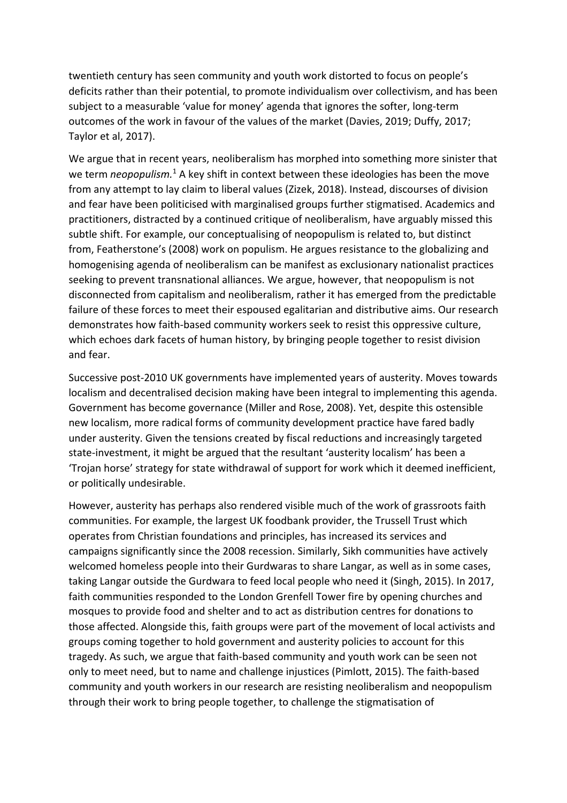twentieth century has seen community and youth work distorted to focus on people's deficits rather than their potential, to promote individualism over collectivism, and has been subject to a measurable 'value for money' agenda that ignores the softer, long-term outcomes of the work in favour of the values of the market (Davies, 2019; Duffy, 2017; Taylor et al, 2017).

We argue that in recent years, neoliberalism has morphed into something more sinister that we term *neopopulism*.<sup>1</sup> A key shift in context between these ideologies has been the move from any attempt to lay claim to liberal values (Zizek, 2018). Instead, discourses of division and fear have been politicised with marginalised groups further stigmatised. Academics and practitioners, distracted by a continued critique of neoliberalism, have arguably missed this subtle shift. For example, our conceptualising of neopopulism is related to, but distinct from, Featherstone's (2008) work on populism. He argues resistance to the globalizing and homogenising agenda of neoliberalism can be manifest as exclusionary nationalist practices seeking to prevent transnational alliances. We argue, however, that neopopulism is not disconnected from capitalism and neoliberalism, rather it has emerged from the predictable failure of these forces to meet their espoused egalitarian and distributive aims. Our research demonstrates how faith-based community workers seek to resist this oppressive culture, which echoes dark facets of human history, by bringing people together to resist division and fear.

Successive post-2010 UK governments have implemented years of austerity. Moves towards localism and decentralised decision making have been integral to implementing this agenda. Government has become governance (Miller and Rose, 2008). Yet, despite this ostensible new localism, more radical forms of community development practice have fared badly under austerity. Given the tensions created by fiscal reductions and increasingly targeted state-investment, it might be argued that the resultant 'austerity localism' has been a 'Trojan horse' strategy for state withdrawal of support for work which it deemed inefficient, or politically undesirable.

However, austerity has perhaps also rendered visible much of the work of grassroots faith communities. For example, the largest UK foodbank provider, the Trussell Trust which operates from Christian foundations and principles, has increased its services and campaigns significantly since the 2008 recession. Similarly, Sikh communities have actively welcomed homeless people into their Gurdwaras to share Langar, as well as in some cases, taking Langar outside the Gurdwara to feed local people who need it (Singh, 2015). In 2017, faith communities responded to the London Grenfell Tower fire by opening churches and mosques to provide food and shelter and to act as distribution centres for donations to those affected. Alongside this, faith groups were part of the movement of local activists and groups coming together to hold government and austerity policies to account for this tragedy. As such, we argue that faith-based community and youth work can be seen not only to meet need, but to name and challenge injustices (Pimlott, 2015). The faith-based community and youth workers in our research are resisting neoliberalism and neopopulism through their work to bring people together, to challenge the stigmatisation of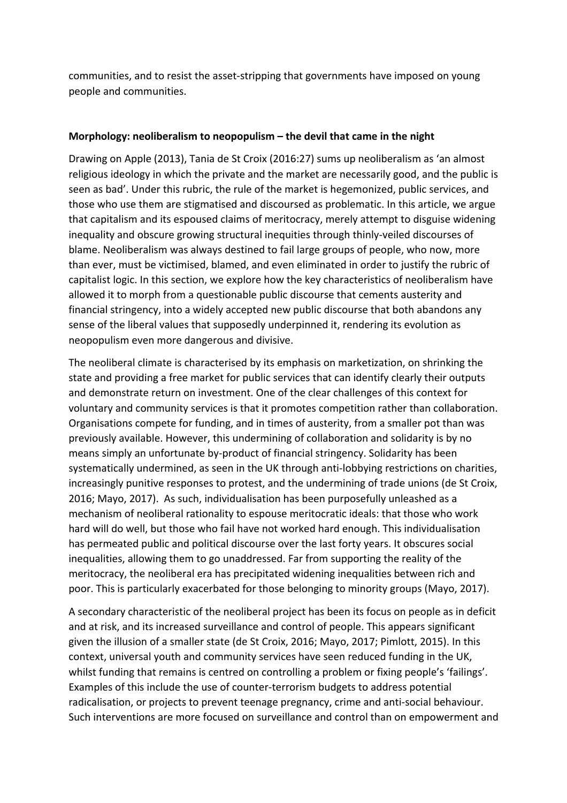communities, and to resist the asset-stripping that governments have imposed on young people and communities.

#### **Morphology: neoliberalism to neopopulism – the devil that came in the night**

Drawing on Apple (2013), Tania de St Croix (2016:27) sums up neoliberalism as 'an almost religious ideology in which the private and the market are necessarily good, and the public is seen as bad'. Under this rubric, the rule of the market is hegemonized, public services, and those who use them are stigmatised and discoursed as problematic. In this article, we argue that capitalism and its espoused claims of meritocracy, merely attempt to disguise widening inequality and obscure growing structural inequities through thinly-veiled discourses of blame. Neoliberalism was always destined to fail large groups of people, who now, more than ever, must be victimised, blamed, and even eliminated in order to justify the rubric of capitalist logic. In this section, we explore how the key characteristics of neoliberalism have allowed it to morph from a questionable public discourse that cements austerity and financial stringency, into a widely accepted new public discourse that both abandons any sense of the liberal values that supposedly underpinned it, rendering its evolution as neopopulism even more dangerous and divisive.

The neoliberal climate is characterised by its emphasis on marketization, on shrinking the state and providing a free market for public services that can identify clearly their outputs and demonstrate return on investment. One of the clear challenges of this context for voluntary and community services is that it promotes competition rather than collaboration. Organisations compete for funding, and in times of austerity, from a smaller pot than was previously available. However, this undermining of collaboration and solidarity is by no means simply an unfortunate by-product of financial stringency. Solidarity has been systematically undermined, as seen in the UK through anti-lobbying restrictions on charities, increasingly punitive responses to protest, and the undermining of trade unions (de St Croix, 2016; Mayo, 2017). As such, individualisation has been purposefully unleashed as a mechanism of neoliberal rationality to espouse meritocratic ideals: that those who work hard will do well, but those who fail have not worked hard enough. This individualisation has permeated public and political discourse over the last forty years. It obscures social inequalities, allowing them to go unaddressed. Far from supporting the reality of the meritocracy, the neoliberal era has precipitated widening inequalities between rich and poor. This is particularly exacerbated for those belonging to minority groups (Mayo, 2017).

A secondary characteristic of the neoliberal project has been its focus on people as in deficit and at risk, and its increased surveillance and control of people. This appears significant given the illusion of a smaller state (de St Croix, 2016; Mayo, 2017; Pimlott, 2015). In this context, universal youth and community services have seen reduced funding in the UK, whilst funding that remains is centred on controlling a problem or fixing people's 'failings'. Examples of this include the use of counter-terrorism budgets to address potential radicalisation, or projects to prevent teenage pregnancy, crime and anti-social behaviour. Such interventions are more focused on surveillance and control than on empowerment and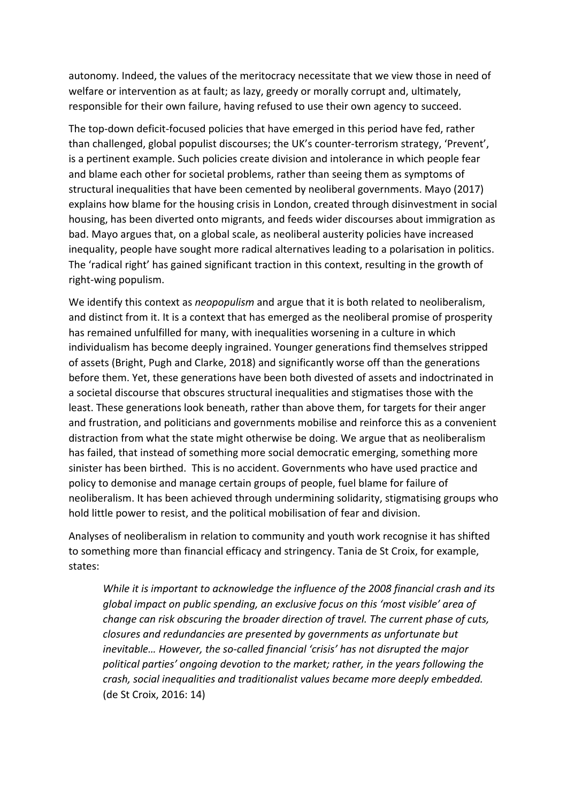autonomy. Indeed, the values of the meritocracy necessitate that we view those in need of welfare or intervention as at fault; as lazy, greedy or morally corrupt and, ultimately, responsible for their own failure, having refused to use their own agency to succeed.

The top-down deficit-focused policies that have emerged in this period have fed, rather than challenged, global populist discourses; the UK's counter-terrorism strategy, 'Prevent', is a pertinent example. Such policies create division and intolerance in which people fear and blame each other for societal problems, rather than seeing them as symptoms of structural inequalities that have been cemented by neoliberal governments. Mayo (2017) explains how blame for the housing crisis in London, created through disinvestment in social housing, has been diverted onto migrants, and feeds wider discourses about immigration as bad. Mayo argues that, on a global scale, as neoliberal austerity policies have increased inequality, people have sought more radical alternatives leading to a polarisation in politics. The 'radical right' has gained significant traction in this context, resulting in the growth of right-wing populism.

We identify this context as *neopopulism* and argue that it is both related to neoliberalism, and distinct from it. It is a context that has emerged as the neoliberal promise of prosperity has remained unfulfilled for many, with inequalities worsening in a culture in which individualism has become deeply ingrained. Younger generations find themselves stripped of assets (Bright, Pugh and Clarke, 2018) and significantly worse off than the generations before them. Yet, these generations have been both divested of assets and indoctrinated in a societal discourse that obscures structural inequalities and stigmatises those with the least. These generations look beneath, rather than above them, for targets for their anger and frustration, and politicians and governments mobilise and reinforce this as a convenient distraction from what the state might otherwise be doing. We argue that as neoliberalism has failed, that instead of something more social democratic emerging, something more sinister has been birthed. This is no accident. Governments who have used practice and policy to demonise and manage certain groups of people, fuel blame for failure of neoliberalism. It has been achieved through undermining solidarity, stigmatising groups who hold little power to resist, and the political mobilisation of fear and division.

Analyses of neoliberalism in relation to community and youth work recognise it has shifted to something more than financial efficacy and stringency. Tania de St Croix, for example, states:

*While it is important to acknowledge the influence of the 2008 financial crash and its global impact on public spending, an exclusive focus on this 'most visible' area of change can risk obscuring the broader direction of travel. The current phase of cuts, closures and redundancies are presented by governments as unfortunate but inevitable… However, the so-called financial 'crisis' has not disrupted the major political parties' ongoing devotion to the market; rather, in the years following the crash, social inequalities and traditionalist values became more deeply embedded.* (de St Croix, 2016: 14)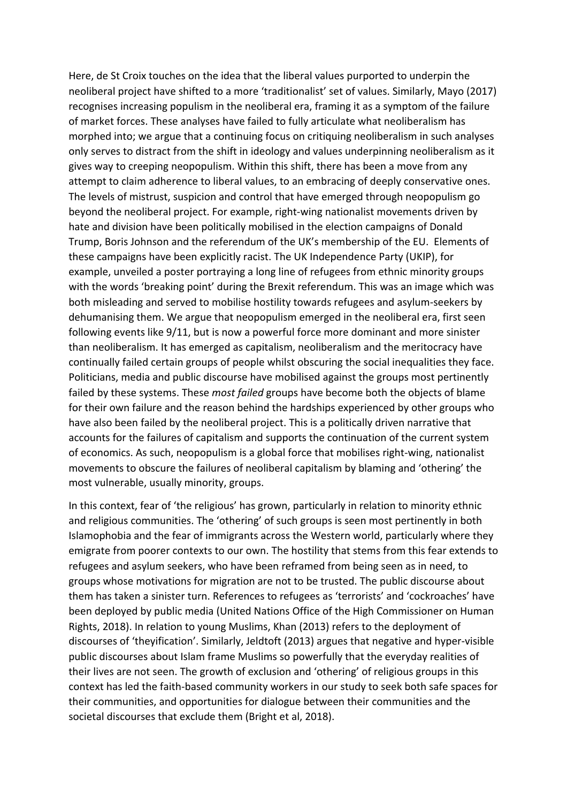Here, de St Croix touches on the idea that the liberal values purported to underpin the neoliberal project have shifted to a more 'traditionalist' set of values. Similarly, Mayo (2017) recognises increasing populism in the neoliberal era, framing it as a symptom of the failure of market forces. These analyses have failed to fully articulate what neoliberalism has morphed into; we argue that a continuing focus on critiquing neoliberalism in such analyses only serves to distract from the shift in ideology and values underpinning neoliberalism as it gives way to creeping neopopulism. Within this shift, there has been a move from any attempt to claim adherence to liberal values, to an embracing of deeply conservative ones. The levels of mistrust, suspicion and control that have emerged through neopopulism go beyond the neoliberal project. For example, right-wing nationalist movements driven by hate and division have been politically mobilised in the election campaigns of Donald Trump, Boris Johnson and the referendum of the UK's membership of the EU. Elements of these campaigns have been explicitly racist. The UK Independence Party (UKIP), for example, unveiled a poster portraying a long line of refugees from ethnic minority groups with the words 'breaking point' during the Brexit referendum. This was an image which was both misleading and served to mobilise hostility towards refugees and asylum-seekers by dehumanising them. We argue that neopopulism emerged in the neoliberal era, first seen following events like 9/11, but is now a powerful force more dominant and more sinister than neoliberalism. It has emerged as capitalism, neoliberalism and the meritocracy have continually failed certain groups of people whilst obscuring the social inequalities they face. Politicians, media and public discourse have mobilised against the groups most pertinently failed by these systems. These *most failed* groups have become both the objects of blame for their own failure and the reason behind the hardships experienced by other groups who have also been failed by the neoliberal project. This is a politically driven narrative that accounts for the failures of capitalism and supports the continuation of the current system of economics. As such, neopopulism is a global force that mobilises right-wing, nationalist movements to obscure the failures of neoliberal capitalism by blaming and 'othering' the most vulnerable, usually minority, groups.

In this context, fear of 'the religious' has grown, particularly in relation to minority ethnic and religious communities. The 'othering' of such groups is seen most pertinently in both Islamophobia and the fear of immigrants across the Western world, particularly where they emigrate from poorer contexts to our own. The hostility that stems from this fear extends to refugees and asylum seekers, who have been reframed from being seen as in need, to groups whose motivations for migration are not to be trusted. The public discourse about them has taken a sinister turn. References to refugees as 'terrorists' and 'cockroaches' have been deployed by public media (United Nations Office of the High Commissioner on Human Rights, 2018). In relation to young Muslims, Khan (2013) refers to the deployment of discourses of 'theyification'. Similarly, Jeldtoft (2013) argues that negative and hyper-visible public discourses about Islam frame Muslims so powerfully that the everyday realities of their lives are not seen. The growth of exclusion and 'othering' of religious groups in this context has led the faith-based community workers in our study to seek both safe spaces for their communities, and opportunities for dialogue between their communities and the societal discourses that exclude them (Bright et al, 2018).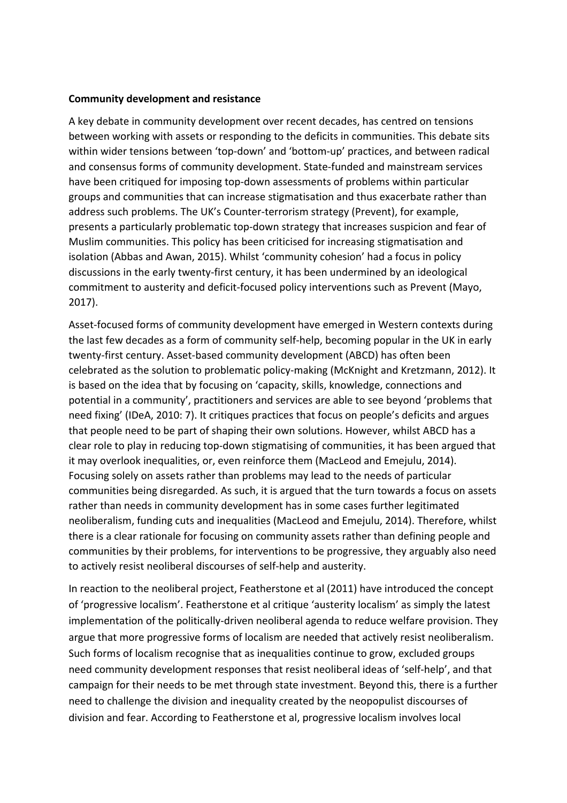#### **Community development and resistance**

A key debate in community development over recent decades, has centred on tensions between working with assets or responding to the deficits in communities. This debate sits within wider tensions between 'top-down' and 'bottom-up' practices, and between radical and consensus forms of community development. State-funded and mainstream services have been critiqued for imposing top-down assessments of problems within particular groups and communities that can increase stigmatisation and thus exacerbate rather than address such problems. The UK's Counter-terrorism strategy (Prevent), for example, presents a particularly problematic top-down strategy that increases suspicion and fear of Muslim communities. This policy has been criticised for increasing stigmatisation and isolation (Abbas and Awan, 2015). Whilst 'community cohesion' had a focus in policy discussions in the early twenty-first century, it has been undermined by an ideological commitment to austerity and deficit-focused policy interventions such as Prevent (Mayo, 2017).

Asset-focused forms of community development have emerged in Western contexts during the last few decades as a form of community self-help, becoming popular in the UK in early twenty-first century. Asset-based community development (ABCD) has often been celebrated as the solution to problematic policy-making (McKnight and Kretzmann, 2012). It is based on the idea that by focusing on 'capacity, skills, knowledge, connections and potential in a community', practitioners and services are able to see beyond 'problems that need fixing' (IDeA, 2010: 7). It critiques practices that focus on people's deficits and argues that people need to be part of shaping their own solutions. However, whilst ABCD has a clear role to play in reducing top-down stigmatising of communities, it has been argued that it may overlook inequalities, or, even reinforce them (MacLeod and Emejulu, 2014). Focusing solely on assets rather than problems may lead to the needs of particular communities being disregarded. As such, it is argued that the turn towards a focus on assets rather than needs in community development has in some cases further legitimated neoliberalism, funding cuts and inequalities (MacLeod and Emejulu, 2014). Therefore, whilst there is a clear rationale for focusing on community assets rather than defining people and communities by their problems, for interventions to be progressive, they arguably also need to actively resist neoliberal discourses of self-help and austerity.

In reaction to the neoliberal project, Featherstone et al (2011) have introduced the concept of 'progressive localism'. Featherstone et al critique 'austerity localism' as simply the latest implementation of the politically-driven neoliberal agenda to reduce welfare provision. They argue that more progressive forms of localism are needed that actively resist neoliberalism. Such forms of localism recognise that as inequalities continue to grow, excluded groups need community development responses that resist neoliberal ideas of 'self-help', and that campaign for their needs to be met through state investment. Beyond this, there is a further need to challenge the division and inequality created by the neopopulist discourses of division and fear. According to Featherstone et al, progressive localism involves local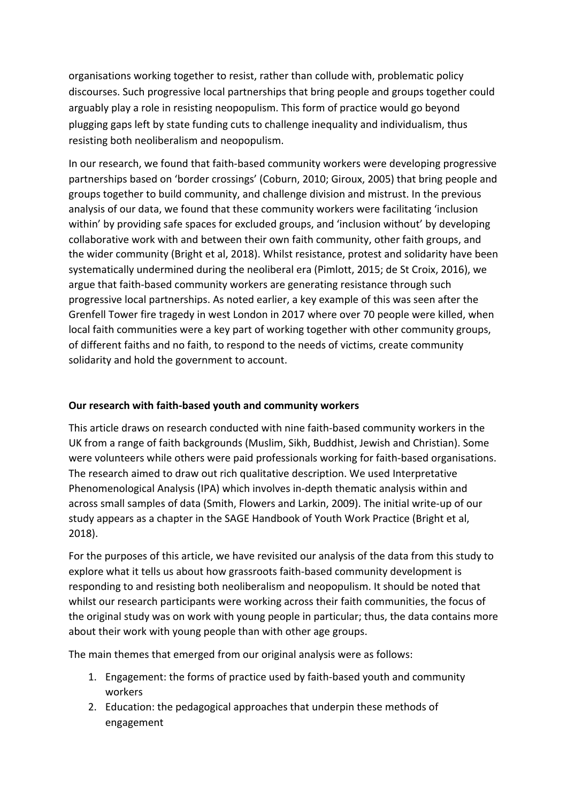organisations working together to resist, rather than collude with, problematic policy discourses. Such progressive local partnerships that bring people and groups together could arguably play a role in resisting neopopulism. This form of practice would go beyond plugging gaps left by state funding cuts to challenge inequality and individualism, thus resisting both neoliberalism and neopopulism.

In our research, we found that faith-based community workers were developing progressive partnerships based on 'border crossings' (Coburn, 2010; Giroux, 2005) that bring people and groups together to build community, and challenge division and mistrust. In the previous analysis of our data, we found that these community workers were facilitating 'inclusion within' by providing safe spaces for excluded groups, and 'inclusion without' by developing collaborative work with and between their own faith community, other faith groups, and the wider community (Bright et al, 2018). Whilst resistance, protest and solidarity have been systematically undermined during the neoliberal era (Pimlott, 2015; de St Croix, 2016), we argue that faith-based community workers are generating resistance through such progressive local partnerships. As noted earlier, a key example of this was seen after the Grenfell Tower fire tragedy in west London in 2017 where over 70 people were killed, when local faith communities were a key part of working together with other community groups, of different faiths and no faith, to respond to the needs of victims, create community solidarity and hold the government to account.

## **Our research with faith-based youth and community workers**

This article draws on research conducted with nine faith-based community workers in the UK from a range of faith backgrounds (Muslim, Sikh, Buddhist, Jewish and Christian). Some were volunteers while others were paid professionals working for faith-based organisations. The research aimed to draw out rich qualitative description. We used Interpretative Phenomenological Analysis (IPA) which involves in-depth thematic analysis within and across small samples of data (Smith, Flowers and Larkin, 2009). The initial write-up of our study appears as a chapter in the SAGE Handbook of Youth Work Practice (Bright et al, 2018).

For the purposes of this article, we have revisited our analysis of the data from this study to explore what it tells us about how grassroots faith-based community development is responding to and resisting both neoliberalism and neopopulism. It should be noted that whilst our research participants were working across their faith communities, the focus of the original study was on work with young people in particular; thus, the data contains more about their work with young people than with other age groups.

The main themes that emerged from our original analysis were as follows:

- 1. Engagement: the forms of practice used by faith-based youth and community workers
- 2. Education: the pedagogical approaches that underpin these methods of engagement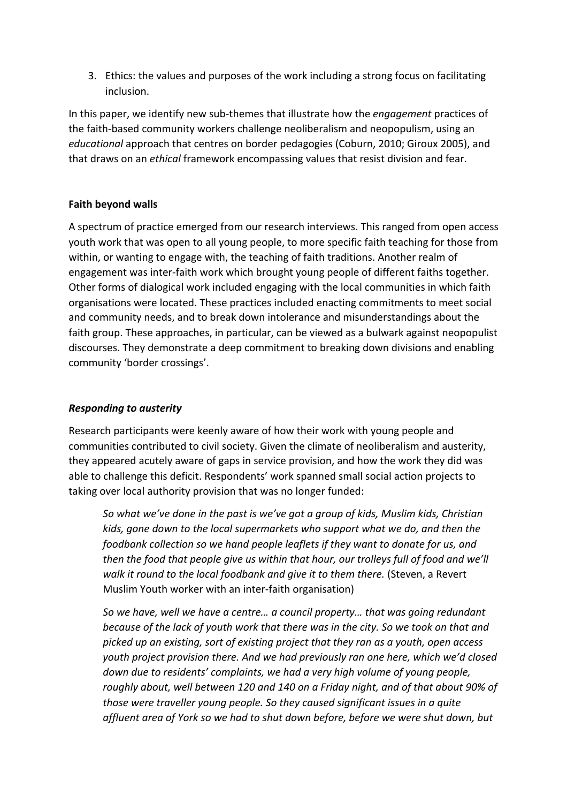3. Ethics: the values and purposes of the work including a strong focus on facilitating inclusion.

In this paper, we identify new sub-themes that illustrate how the *engagement* practices of the faith-based community workers challenge neoliberalism and neopopulism, using an *educational* approach that centres on border pedagogies (Coburn, 2010; Giroux 2005), and that draws on an *ethical* framework encompassing values that resist division and fear.

# **Faith beyond walls**

A spectrum of practice emerged from our research interviews. This ranged from open access youth work that was open to all young people, to more specific faith teaching for those from within, or wanting to engage with, the teaching of faith traditions. Another realm of engagement was inter-faith work which brought young people of different faiths together. Other forms of dialogical work included engaging with the local communities in which faith organisations were located. These practices included enacting commitments to meet social and community needs, and to break down intolerance and misunderstandings about the faith group. These approaches, in particular, can be viewed as a bulwark against neopopulist discourses. They demonstrate a deep commitment to breaking down divisions and enabling community 'border crossings'.

# *Responding to austerity*

Research participants were keenly aware of how their work with young people and communities contributed to civil society. Given the climate of neoliberalism and austerity, they appeared acutely aware of gaps in service provision, and how the work they did was able to challenge this deficit. Respondents' work spanned small social action projects to taking over local authority provision that was no longer funded:

*So what we've done in the past is we've got a group of kids, Muslim kids, Christian kids, gone down to the local supermarkets who support what we do, and then the foodbank collection so we hand people leaflets if they want to donate for us, and then the food that people give us within that hour, our trolleys full of food and we'll walk it round to the local foodbank and give it to them there.* (Steven, a Revert Muslim Youth worker with an inter-faith organisation)

*So we have, well we have a centre… a council property… that was going redundant because of the lack of youth work that there was in the city. So we took on that and picked up an existing, sort of existing project that they ran as a youth, open access youth project provision there. And we had previously ran one here, which we'd closed down due to residents' complaints, we had a very high volume of young people, roughly about, well between 120 and 140 on a Friday night, and of that about 90% of those were traveller young people. So they caused significant issues in a quite affluent area of York so we had to shut down before, before we were shut down, but*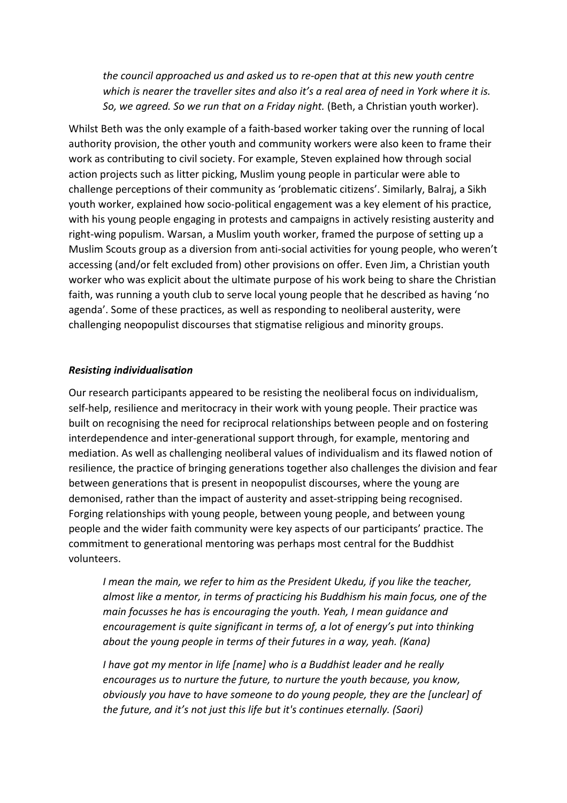*the council approached us and asked us to re-open that at this new youth centre which is nearer the traveller sites and also it's a real area of need in York where it is. So, we agreed. So we run that on a Friday night.* (Beth, a Christian youth worker).

Whilst Beth was the only example of a faith-based worker taking over the running of local authority provision, the other youth and community workers were also keen to frame their work as contributing to civil society. For example, Steven explained how through social action projects such as litter picking, Muslim young people in particular were able to challenge perceptions of their community as 'problematic citizens'. Similarly, Balraj, a Sikh youth worker, explained how socio-political engagement was a key element of his practice, with his young people engaging in protests and campaigns in actively resisting austerity and right-wing populism. Warsan, a Muslim youth worker, framed the purpose of setting up a Muslim Scouts group as a diversion from anti-social activities for young people, who weren't accessing (and/or felt excluded from) other provisions on offer. Even Jim, a Christian youth worker who was explicit about the ultimate purpose of his work being to share the Christian faith, was running a youth club to serve local young people that he described as having 'no agenda'. Some of these practices, as well as responding to neoliberal austerity, were challenging neopopulist discourses that stigmatise religious and minority groups.

#### *Resisting individualisation*

Our research participants appeared to be resisting the neoliberal focus on individualism, self-help, resilience and meritocracy in their work with young people. Their practice was built on recognising the need for reciprocal relationships between people and on fostering interdependence and inter-generational support through, for example, mentoring and mediation. As well as challenging neoliberal values of individualism and its flawed notion of resilience, the practice of bringing generations together also challenges the division and fear between generations that is present in neopopulist discourses, where the young are demonised, rather than the impact of austerity and asset-stripping being recognised. Forging relationships with young people, between young people, and between young people and the wider faith community were key aspects of our participants' practice. The commitment to generational mentoring was perhaps most central for the Buddhist volunteers.

*I mean the main, we refer to him as the President Ukedu, if you like the teacher, almost like a mentor, in terms of practicing his Buddhism his main focus, one of the main focusses he has is encouraging the youth. Yeah, I mean guidance and encouragement is quite significant in terms of, a lot of energy's put into thinking about the young people in terms of their futures in a way, yeah. (Kana)*

*I have got my mentor in life [name] who is a Buddhist leader and he really encourages us to nurture the future, to nurture the youth because, you know, obviously you have to have someone to do young people, they are the [unclear] of the future, and it's not just this life but it's continues eternally. (Saori)*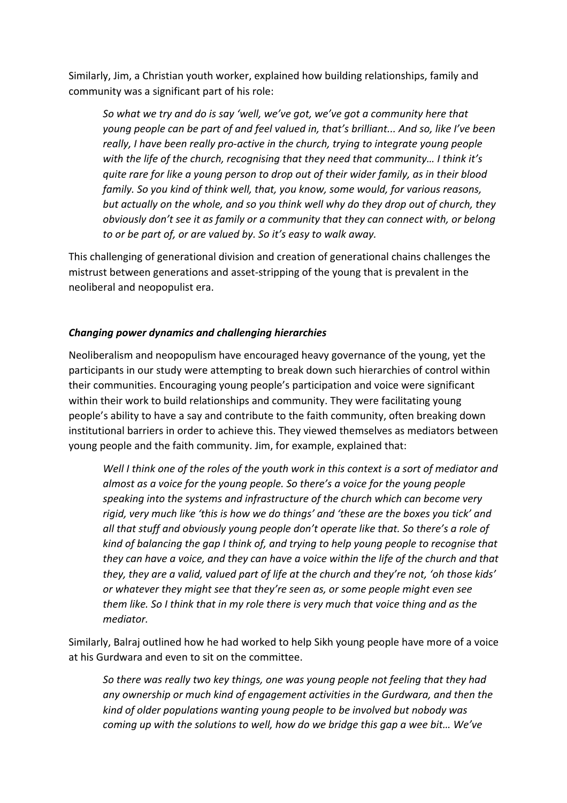Similarly, Jim, a Christian youth worker, explained how building relationships, family and community was a significant part of his role:

*So what we try and do is say 'well, we've got, we've got a community here that young people can be part of and feel valued in, that's brilliant... And so, like I've been really, I have been really pro-active in the church, trying to integrate young people with the life of the church, recognising that they need that community… I think it's quite rare for like a young person to drop out of their wider family, as in their blood family. So you kind of think well, that, you know, some would, for various reasons, but actually on the whole, and so you think well why do they drop out of church, they obviously don't see it as family or a community that they can connect with, or belong to or be part of, or are valued by. So it's easy to walk away.* 

This challenging of generational division and creation of generational chains challenges the mistrust between generations and asset-stripping of the young that is prevalent in the neoliberal and neopopulist era.

## *Changing power dynamics and challenging hierarchies*

Neoliberalism and neopopulism have encouraged heavy governance of the young, yet the participants in our study were attempting to break down such hierarchies of control within their communities. Encouraging young people's participation and voice were significant within their work to build relationships and community. They were facilitating young people's ability to have a say and contribute to the faith community, often breaking down institutional barriers in order to achieve this. They viewed themselves as mediators between young people and the faith community. Jim, for example, explained that:

*Well I think one of the roles of the youth work in this context is a sort of mediator and almost as a voice for the young people. So there's a voice for the young people speaking into the systems and infrastructure of the church which can become very rigid, very much like 'this is how we do things' and 'these are the boxes you tick' and all that stuff and obviously young people don't operate like that. So there's a role of kind of balancing the gap I think of, and trying to help young people to recognise that they can have a voice, and they can have a voice within the life of the church and that they, they are a valid, valued part of life at the church and they're not, 'oh those kids' or whatever they might see that they're seen as, or some people might even see them like. So I think that in my role there is very much that voice thing and as the mediator.* 

Similarly, Balraj outlined how he had worked to help Sikh young people have more of a voice at his Gurdwara and even to sit on the committee.

*So there was really two key things, one was young people not feeling that they had any ownership or much kind of engagement activities in the Gurdwara, and then the kind of older populations wanting young people to be involved but nobody was coming up with the solutions to well, how do we bridge this gap a wee bit… We've*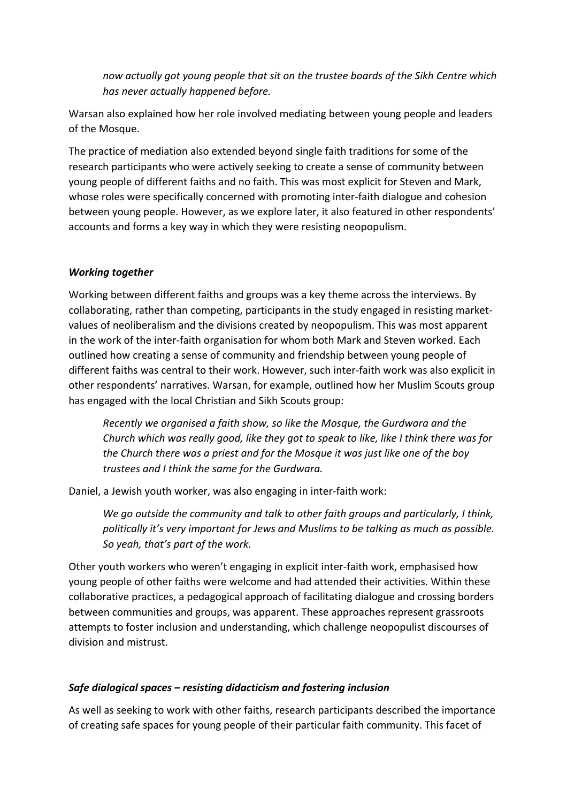*now actually got young people that sit on the trustee boards of the Sikh Centre which has never actually happened before.*

Warsan also explained how her role involved mediating between young people and leaders of the Mosque.

The practice of mediation also extended beyond single faith traditions for some of the research participants who were actively seeking to create a sense of community between young people of different faiths and no faith. This was most explicit for Steven and Mark, whose roles were specifically concerned with promoting inter-faith dialogue and cohesion between young people. However, as we explore later, it also featured in other respondents' accounts and forms a key way in which they were resisting neopopulism.

# *Working together*

Working between different faiths and groups was a key theme across the interviews. By collaborating, rather than competing, participants in the study engaged in resisting marketvalues of neoliberalism and the divisions created by neopopulism. This was most apparent in the work of the inter-faith organisation for whom both Mark and Steven worked. Each outlined how creating a sense of community and friendship between young people of different faiths was central to their work. However, such inter-faith work was also explicit in other respondents' narratives. Warsan, for example, outlined how her Muslim Scouts group has engaged with the local Christian and Sikh Scouts group:

*Recently we organised a faith show, so like the Mosque, the Gurdwara and the Church which was really good, like they got to speak to like, like I think there was for the Church there was a priest and for the Mosque it was just like one of the boy trustees and I think the same for the Gurdwara.*

Daniel, a Jewish youth worker, was also engaging in inter-faith work:

*We go outside the community and talk to other faith groups and particularly, I think, politically it's very important for Jews and Muslims to be talking as much as possible. So yeah, that's part of the work.*

Other youth workers who weren't engaging in explicit inter-faith work, emphasised how young people of other faiths were welcome and had attended their activities. Within these collaborative practices, a pedagogical approach of facilitating dialogue and crossing borders between communities and groups, was apparent. These approaches represent grassroots attempts to foster inclusion and understanding, which challenge neopopulist discourses of division and mistrust.

# *Safe dialogical spaces – resisting didacticism and fostering inclusion*

As well as seeking to work with other faiths, research participants described the importance of creating safe spaces for young people of their particular faith community. This facet of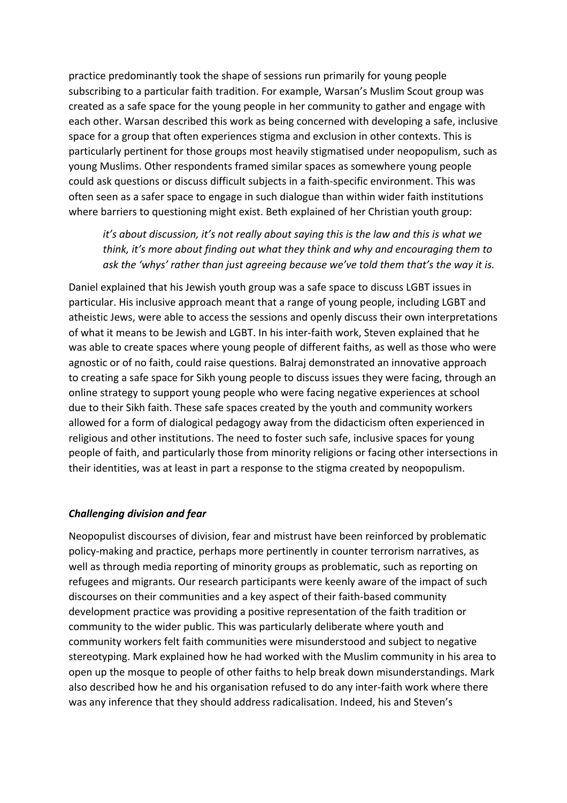practice predominantly took the shape of sessions run primarily for young people subscribing to a particular faith tradition. For example, Warsan's Muslim Scout group was created as a safe space for the young people in her community to gather and engage with each other. Warsan described this work as being concerned with developing a safe, inclusive space for a group that often experiences stigma and exclusion in other contexts. This is particularly pertinent for those groups most heavily stigmatised under neopopulism, such as young Muslims. Other respondents framed similar spaces as somewhere young people could ask questions or discuss difficult subjects in a faith-specific environment. This was often seen as a safer space to engage in such dialogue than within wider faith institutions where barriers to questioning might exist. Beth explained of her Christian youth group:

*it's about discussion, it's not really about saying this is the law and this is what we think, it's more about finding out what they think and why and encouraging them to ask the 'whys' rather than just agreeing because we've told them that's the way it is.*

Daniel explained that his Jewish youth group was a safe space to discuss LGBT issues in particular. His inclusive approach meant that a range of young people, including LGBT and atheistic Jews, were able to access the sessions and openly discuss their own interpretations of what it means to be Jewish and LGBT. In his inter-faith work, Steven explained that he was able to create spaces where young people of different faiths, as well as those who were agnostic or of no faith, could raise questions. Balraj demonstrated an innovative approach to creating a safe space for Sikh young people to discuss issues they were facing, through an online strategy to support young people who were facing negative experiences at school due to their Sikh faith. These safe spaces created by the youth and community workers allowed for a form of dialogical pedagogy away from the didacticism often experienced in religious and other institutions. The need to foster such safe, inclusive spaces for young people of faith, and particularly those from minority religions or facing other intersections in their identities, was at least in part a response to the stigma created by neopopulism.

#### *Challenging division and fear*

Neopopulist discourses of division, fear and mistrust have been reinforced by problematic policy-making and practice, perhaps more pertinently in counter terrorism narratives, as well as through media reporting of minority groups as problematic, such as reporting on refugees and migrants. Our research participants were keenly aware of the impact of such discourses on their communities and a key aspect of their faith-based community development practice was providing a positive representation of the faith tradition or community to the wider public. This was particularly deliberate where youth and community workers felt faith communities were misunderstood and subject to negative stereotyping. Mark explained how he had worked with the Muslim community in his area to open up the mosque to people of other faiths to help break down misunderstandings. Mark also described how he and his organisation refused to do any inter-faith work where there was any inference that they should address radicalisation. Indeed, his and Steven's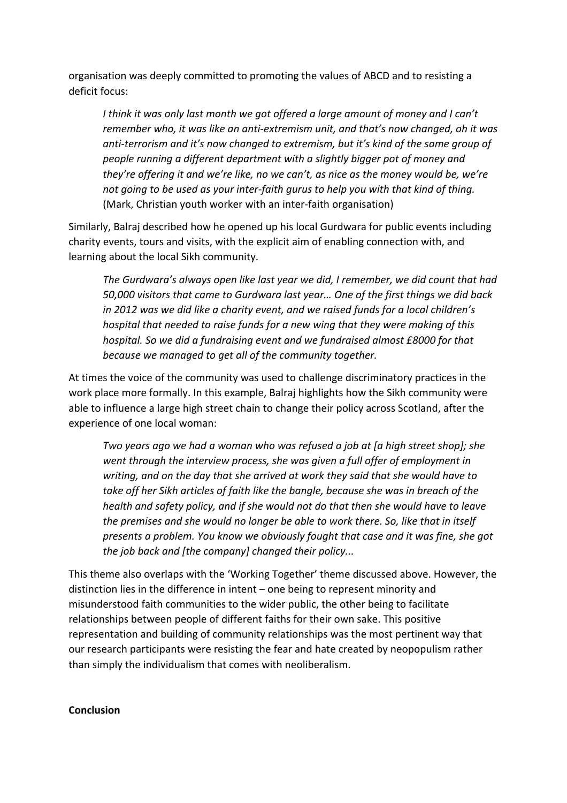organisation was deeply committed to promoting the values of ABCD and to resisting a deficit focus:

*I think it was only last month we got offered a large amount of money and I can't remember who, it was like an anti-extremism unit, and that's now changed, oh it was anti-terrorism and it's now changed to extremism, but it's kind of the same group of people running a different department with a slightly bigger pot of money and they're offering it and we're like, no we can't, as nice as the money would be, we're not going to be used as your inter-faith gurus to help you with that kind of thing.* (Mark, Christian youth worker with an inter-faith organisation)

Similarly, Balraj described how he opened up his local Gurdwara for public events including charity events, tours and visits, with the explicit aim of enabling connection with, and learning about the local Sikh community.

*The Gurdwara's always open like last year we did, I remember, we did count that had 50,000 visitors that came to Gurdwara last year… One of the first things we did back in 2012 was we did like a charity event, and we raised funds for a local children's hospital that needed to raise funds for a new wing that they were making of this hospital. So we did a fundraising event and we fundraised almost £8000 for that because we managed to get all of the community together.*

At times the voice of the community was used to challenge discriminatory practices in the work place more formally. In this example, Balraj highlights how the Sikh community were able to influence a large high street chain to change their policy across Scotland, after the experience of one local woman:

*Two years ago we had a woman who was refused a job at [a high street shop]; she went through the interview process, she was given a full offer of employment in writing, and on the day that she arrived at work they said that she would have to take off her Sikh articles of faith like the bangle, because she was in breach of the health and safety policy, and if she would not do that then she would have to leave the premises and she would no longer be able to work there. So, like that in itself presents a problem. You know we obviously fought that case and it was fine, she got the job back and [the company] changed their policy...*

This theme also overlaps with the 'Working Together' theme discussed above. However, the distinction lies in the difference in intent – one being to represent minority and misunderstood faith communities to the wider public, the other being to facilitate relationships between people of different faiths for their own sake. This positive representation and building of community relationships was the most pertinent way that our research participants were resisting the fear and hate created by neopopulism rather than simply the individualism that comes with neoliberalism.

#### **Conclusion**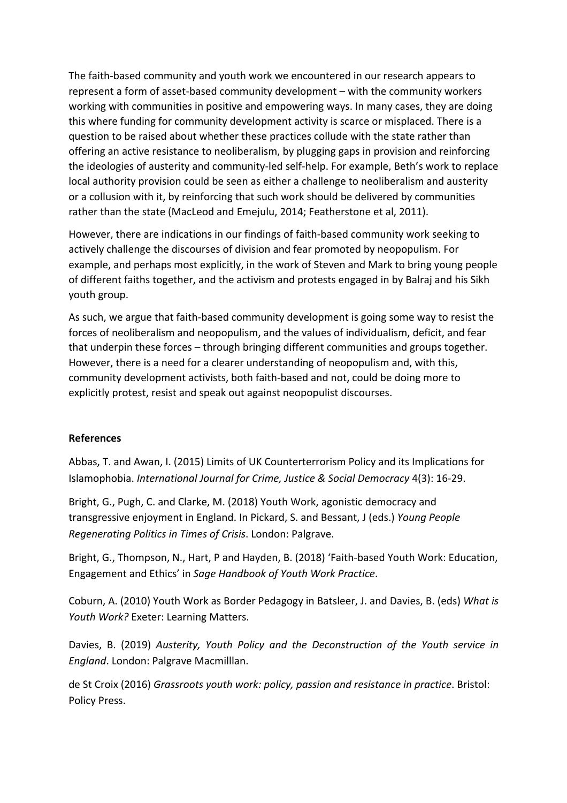The faith-based community and youth work we encountered in our research appears to represent a form of asset-based community development – with the community workers working with communities in positive and empowering ways. In many cases, they are doing this where funding for community development activity is scarce or misplaced. There is a question to be raised about whether these practices collude with the state rather than offering an active resistance to neoliberalism, by plugging gaps in provision and reinforcing the ideologies of austerity and community-led self-help. For example, Beth's work to replace local authority provision could be seen as either a challenge to neoliberalism and austerity or a collusion with it, by reinforcing that such work should be delivered by communities rather than the state (MacLeod and Emejulu, 2014; Featherstone et al, 2011).

However, there are indications in our findings of faith-based community work seeking to actively challenge the discourses of division and fear promoted by neopopulism. For example, and perhaps most explicitly, in the work of Steven and Mark to bring young people of different faiths together, and the activism and protests engaged in by Balraj and his Sikh youth group.

As such, we argue that faith-based community development is going some way to resist the forces of neoliberalism and neopopulism, and the values of individualism, deficit, and fear that underpin these forces – through bringing different communities and groups together. However, there is a need for a clearer understanding of neopopulism and, with this, community development activists, both faith-based and not, could be doing more to explicitly protest, resist and speak out against neopopulist discourses.

## **References**

Abbas, T. and Awan, I. (2015) Limits of UK Counterterrorism Policy and its Implications for Islamophobia. *International Journal for Crime, Justice & Social Democracy* 4(3): 16-29.

Bright, G., Pugh, C. and Clarke, M. (2018) Youth Work, agonistic democracy and transgressive enjoyment in England. In Pickard, S. and Bessant, J (eds.) *Young People Regenerating Politics in Times of Crisis*. London: Palgrave.

Bright, G., Thompson, N., Hart, P and Hayden, B. (2018) 'Faith-based Youth Work: Education, Engagement and Ethics' in *Sage Handbook of Youth Work Practice*.

Coburn, A. (2010) Youth Work as Border Pedagogy in Batsleer, J. and Davies, B. (eds) *What is Youth Work?* Exeter: Learning Matters.

Davies, B. (2019) *Austerity, Youth Policy and the Deconstruction of the Youth service in England*. London: Palgrave Macmilllan.

de St Croix (2016) *Grassroots youth work: policy, passion and resistance in practice*. Bristol: Policy Press.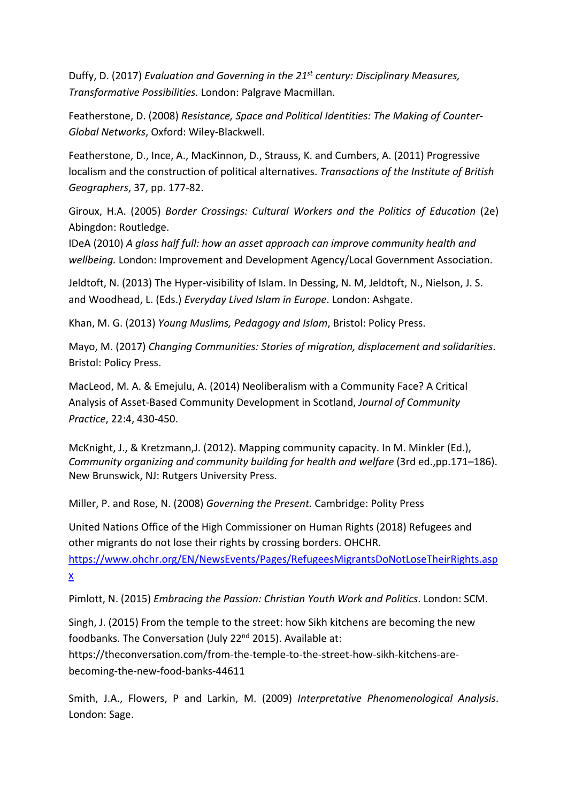Duffy, D. (2017) *Evaluation and Governing in the 21st century: Disciplinary Measures, Transformative Possibilities.* London: Palgrave Macmillan.

Featherstone, D. (2008) *Resistance, Space and Political Identities: The Making of Counter-Global Networks*, Oxford: Wiley-Blackwell.

Featherstone, D., Ince, A., MacKinnon, D., Strauss, K. and Cumbers, A. (2011) Progressive localism and the construction of political alternatives. *Transactions of the Institute of British Geographers*, 37, pp. 177-82.

Giroux, H.A. (2005) *Border Crossings: Cultural Workers and the Politics of Education* (2e) Abingdon: Routledge.

IDeA (2010) *A glass half full: how an asset approach can improve community health and wellbeing.* London: Improvement and Development Agency/Local Government Association.

Jeldtoft, N. (2013) The Hyper-visibility of Islam. In Dessing, N. M, Jeldtoft, N., Nielson, J. S. and Woodhead, L. (Eds.) *Everyday Lived Islam in Europe*. London: Ashgate.

Khan, M. G. (2013) *Young Muslims, Pedagogy and Islam*, Bristol: Policy Press.

Mayo, M. (2017) *Changing Communities: Stories of migration, displacement and solidarities*. Bristol: Policy Press.

MacLeod, M. A. & Emejulu, A. (2014) Neoliberalism with a Community Face? A Critical Analysis of Asset-Based Community Development in Scotland, *Journal of Community Practice*, 22:4, 430-450.

McKnight, J., & Kretzmann,J. (2012). Mapping community capacity. In M. Minkler (Ed.), *Community organizing and community building for health and welfare* (3rd ed.,pp.171–186). New Brunswick, NJ: Rutgers University Press.

Miller, P. and Rose, N. (2008) *Governing the Present.* Cambridge: Polity Press

United Nations Office of the High Commissioner on Human Rights (2018) Refugees and other migrants do not lose their rights by crossing borders. OHCHR.

https://www.ohchr.org/EN/NewsEvents/Pages/RefugeesMigrantsDoNotLoseTheirRights.asp x

Pimlott, N. (2015) *Embracing the Passion: Christian Youth Work and Politics*. London: SCM.

Singh, J. (2015) From the temple to the street: how Sikh kitchens are becoming the new foodbanks. The Conversation (July 22<sup>nd</sup> 2015). Available at: https://theconversation.com/from-the-temple-to-the-street-how-sikh-kitchens-arebecoming-the-new-food-banks-44611

Smith, J.A., Flowers, P and Larkin, M. (2009) *Interpretative Phenomenological Analysis*. London: Sage.